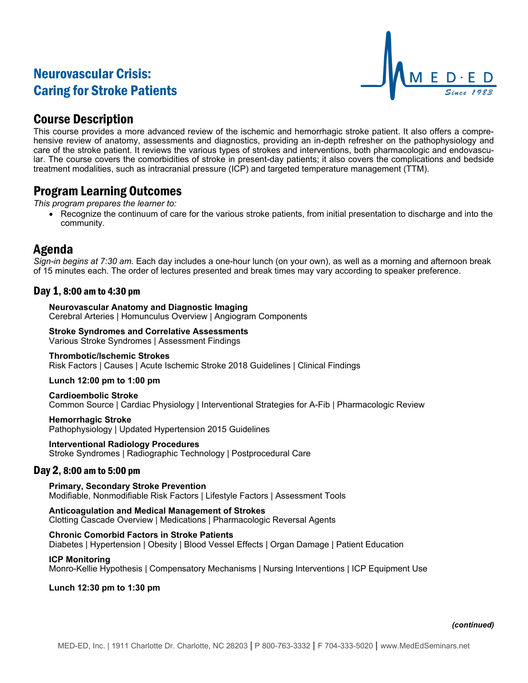# Neurovascular Crisis: Caring for Stroke Patients



## Course Description

This course provides a more advanced review of the ischemic and hemorrhagic stroke patient. It also offers a comprehensive review of anatomy, assessments and diagnostics, providing an in-depth refresher on the pathophysiology and care of the stroke patient. It reviews the various types of strokes and interventions, both pharmacologic and endovascular. The course covers the comorbidities of stroke in present-day patients; it also covers the complications and bedside treatment modalities, such as intracranial pressure (ICP) and targeted temperature management (TTM).

# Program Learning Outcomes

*This program prepares the learner to:*

• Recognize the continuum of care for the various stroke patients, from initial presentation to discharge and into the community.

# Agenda

*Sign-in begins at 7:30 am.* Each day includes a one-hour lunch (on your own), as well as a morning and afternoon break of 15 minutes each. The order of lectures presented and break times may vary according to speaker preference.

## Day 1, 8:00 am to 4:30 pm

**Neurovascular Anatomy and Diagnostic Imaging** Cerebral Arteries | Homunculus Overview | Angiogram Components

## **Stroke Syndromes and Correlative Assessments**

Various Stroke Syndromes | Assessment Findings

### **Thrombotic/Ischemic Strokes**

Risk Factors | Causes | Acute Ischemic Stroke 2018 Guidelines | Clinical Findings

**Lunch 12:00 pm to 1:00 pm**

**Cardioembolic Stroke** Common Source | Cardiac Physiology | Interventional Strategies for A-Fib | Pharmacologic Review

**Hemorrhagic Stroke** Pathophysiology | Updated Hypertension 2015 Guidelines

**Interventional Radiology Procedures** Stroke Syndromes | Radiographic Technology | Postprocedural Care

## Day 2, 8:00 am to 5:00 pm

**Primary, Secondary Stroke Prevention** Modifiable, Nonmodifiable Risk Factors | Lifestyle Factors | Assessment Tools

**Anticoagulation and Medical Management of Strokes** Clotting Cascade Overview | Medications | Pharmacologic Reversal Agents

## **Chronic Comorbid Factors in Stroke Patients**

Diabetes | Hypertension | Obesity | Blood Vessel Effects | Organ Damage | Patient Education

### **ICP Monitoring**

Monro-Kellie Hypothesis | Compensatory Mechanisms | Nursing Interventions | ICP Equipment Use

**Lunch 12:30 pm to 1:30 pm**

### *(continued)*